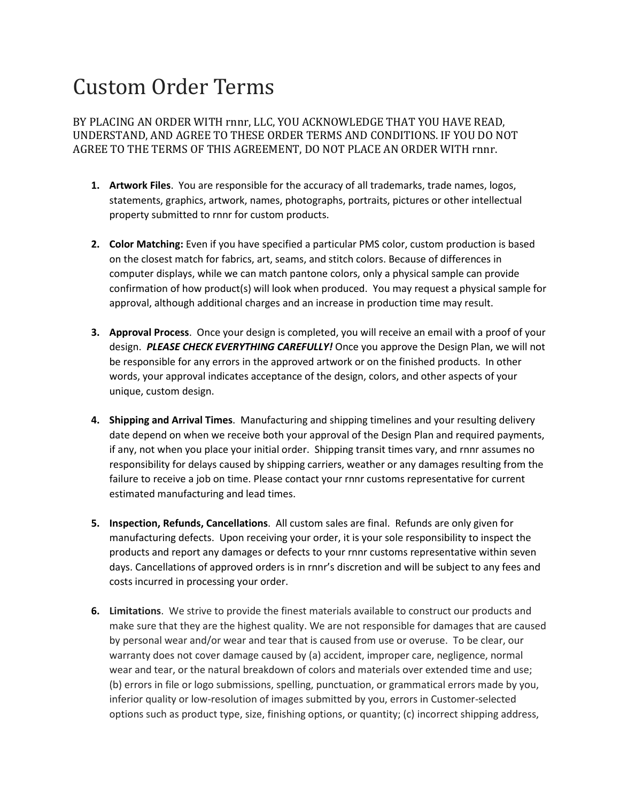## Custom Order Terms

BY PLACING AN ORDER WITH rnnr, LLC, YOU ACKNOWLEDGE THAT YOU HAVE READ, UNDERSTAND, AND AGREE TO THESE ORDER TERMS AND CONDITIONS. IF YOU DO NOT AGREE TO THE TERMS OF THIS AGREEMENT, DO NOT PLACE AN ORDER WITH rnnr.

- **1. Artwork Files**. You are responsible for the accuracy of all trademarks, trade names, logos, statements, graphics, artwork, names, photographs, portraits, pictures or other intellectual property submitted to rnnr for custom products.
- **2. Color Matching:** Even if you have specified a particular PMS color, custom production is based on the closest match for fabrics, art, seams, and stitch colors. Because of differences in computer displays, while we can match pantone colors, only a physical sample can provide confirmation of how product(s) will look when produced. You may request a physical sample for approval, although additional charges and an increase in production time may result.
- **3. Approval Process**. Once your design is completed, you will receive an email with a proof of your design. *PLEASE CHECK EVERYTHING CAREFULLY!* Once you approve the Design Plan, we will not be responsible for any errors in the approved artwork or on the finished products. In other words, your approval indicates acceptance of the design, colors, and other aspects of your unique, custom design.
- **4. Shipping and Arrival Times**. Manufacturing and shipping timelines and your resulting delivery date depend on when we receive both your approval of the Design Plan and required payments, if any, not when you place your initial order. Shipping transit times vary, and rnnr assumes no responsibility for delays caused by shipping carriers, weather or any damages resulting from the failure to receive a job on time. Please contact your rnnr customs representative for current estimated manufacturing and lead times.
- **5. Inspection, Refunds, Cancellations**. All custom sales are final. Refunds are only given for manufacturing defects. Upon receiving your order, it is your sole responsibility to inspect the products and report any damages or defects to your rnnr customs representative within seven days. Cancellations of approved orders is in rnnr's discretion and will be subject to any fees and costs incurred in processing your order.
- **6. Limitations**. We strive to provide the finest materials available to construct our products and make sure that they are the highest quality. We are not responsible for damages that are caused by personal wear and/or wear and tear that is caused from use or overuse. To be clear, our warranty does not cover damage caused by (a) accident, improper care, negligence, normal wear and tear, or the natural breakdown of colors and materials over extended time and use; (b) errors in file or logo submissions, spelling, punctuation, or grammatical errors made by you, inferior quality or low-resolution of images submitted by you, errors in Customer-selected options such as product type, size, finishing options, or quantity; (c) incorrect shipping address,